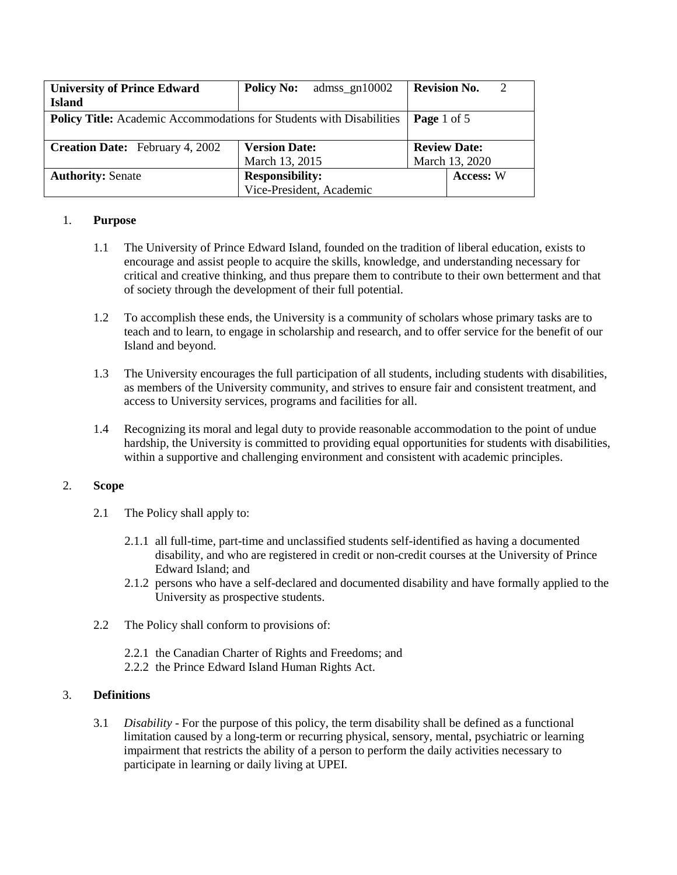| <b>University of Prince Edward</b>                                   | <b>Policy No:</b><br>admss_gn $10002$ | <b>Revision No.</b><br>2 |  |
|----------------------------------------------------------------------|---------------------------------------|--------------------------|--|
| <b>Island</b>                                                        |                                       |                          |  |
| Policy Title: Academic Accommodations for Students with Disabilities | Page 1 of 5                           |                          |  |
|                                                                      |                                       |                          |  |
| <b>Creation Date:</b> February 4, 2002                               | <b>Version Date:</b>                  | <b>Review Date:</b>      |  |
|                                                                      | March 13, 2015                        | March 13, 2020           |  |
| <b>Authority: Senate</b>                                             | <b>Responsibility:</b>                | Access: W                |  |
|                                                                      | Vice-President, Academic              |                          |  |

## 1. **Purpose**

- 1.1 The University of Prince Edward Island, founded on the tradition of liberal education, exists to encourage and assist people to acquire the skills, knowledge, and understanding necessary for critical and creative thinking, and thus prepare them to contribute to their own betterment and that of society through the development of their full potential.
- 1.2 To accomplish these ends, the University is a community of scholars whose primary tasks are to teach and to learn, to engage in scholarship and research, and to offer service for the benefit of our Island and beyond.
- 1.3 The University encourages the full participation of all students, including students with disabilities, as members of the University community, and strives to ensure fair and consistent treatment, and access to University services, programs and facilities for all.
- 1.4 Recognizing its moral and legal duty to provide reasonable accommodation to the point of undue hardship, the University is committed to providing equal opportunities for students with disabilities, within a supportive and challenging environment and consistent with academic principles.

# 2. **Scope**

- 2.1 The Policy shall apply to:
	- 2.1.1 all full-time, part-time and unclassified students self-identified as having a documented disability, and who are registered in credit or non-credit courses at the University of Prince Edward Island; and
	- 2.1.2 persons who have a self-declared and documented disability and have formally applied to the University as prospective students.
- 2.2 The Policy shall conform to provisions of:
	- 2.2.1 the Canadian Charter of Rights and Freedoms; and
	- 2.2.2 the Prince Edward Island Human Rights Act.

### 3. **Definitions**

3.1 *Disability* - For the purpose of this policy, the term disability shall be defined as a functional limitation caused by a long-term or recurring physical, sensory, mental, psychiatric or learning impairment that restricts the ability of a person to perform the daily activities necessary to participate in learning or daily living at UPEI.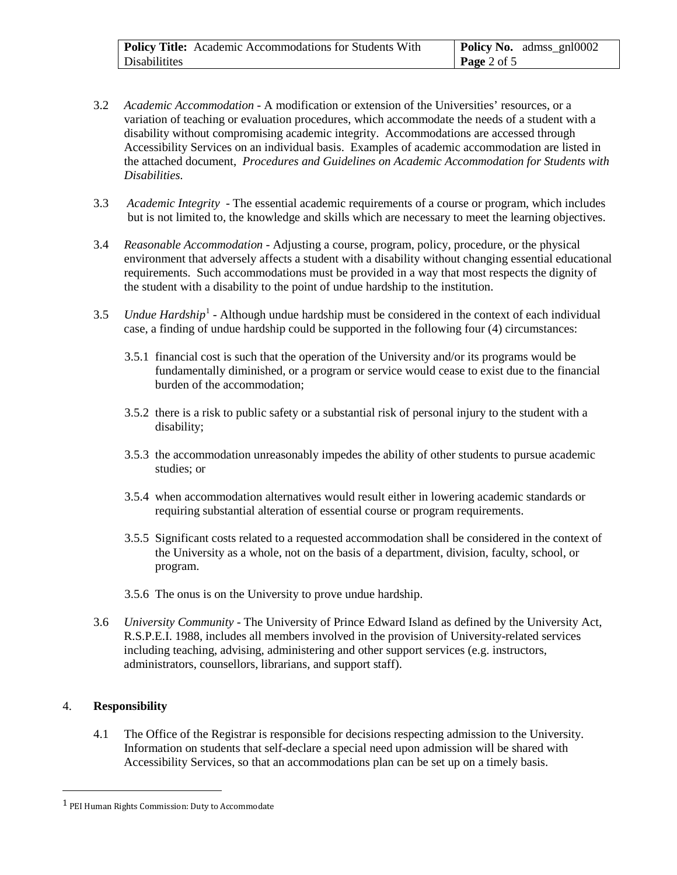| <b>Policy Title:</b> Academic Accommodations for Students With | <b>Policy No.</b> admss_gnl0002 |
|----------------------------------------------------------------|---------------------------------|
| Disabilitites                                                  | Page 2 of 5                     |

- 3.2 *Academic Accommodation* A modification or extension of the Universities' resources, or a variation of teaching or evaluation procedures, which accommodate the needs of a student with a disability without compromising academic integrity. Accommodations are accessed through Accessibility Services on an individual basis. Examples of academic accommodation are listed in the attached document, *Procedures and Guidelines on Academic Accommodation for Students with Disabilities.*
- 3.3 *Academic Integrity* The essential academic requirements of a course or program, which includes but is not limited to, the knowledge and skills which are necessary to meet the learning objectives.
- 3.4 *Reasonable Accommodation* Adjusting a course, program, policy, procedure, or the physical environment that adversely affects a student with a disability without changing essential educational requirements. Such accommodations must be provided in a way that most respects the dignity of the student with a disability to the point of undue hardship to the institution.
- 3.5 *Undue Hardship*<sup>[1](#page-1-0)</sup> Although undue hardship must be considered in the context of each individual case, a finding of undue hardship could be supported in the following four (4) circumstances:
	- 3.5.1 financial cost is such that the operation of the University and/or its programs would be fundamentally diminished, or a program or service would cease to exist due to the financial burden of the accommodation;
	- 3.5.2 there is a risk to public safety or a substantial risk of personal injury to the student with a disability;
	- 3.5.3 the accommodation unreasonably impedes the ability of other students to pursue academic studies; or
	- 3.5.4 when accommodation alternatives would result either in lowering academic standards or requiring substantial alteration of essential course or program requirements.
	- 3.5.5 Significant costs related to a requested accommodation shall be considered in the context of the University as a whole, not on the basis of a department, division, faculty, school, or program.
	- 3.5.6 The onus is on the University to prove undue hardship.
- 3.6 *University Community* The University of Prince Edward Island as defined by the University Act, R.S.P.E.I. 1988, includes all members involved in the provision of University-related services including teaching, advising, administering and other support services (e.g. instructors, administrators, counsellors, librarians, and support staff).

### 4. **Responsibility**

4.1 The Office of the Registrar is responsible for decisions respecting admission to the University. Information on students that self-declare a special need upon admission will be shared with Accessibility Services, so that an accommodations plan can be set up on a timely basis.

<span id="page-1-0"></span> <sup>1</sup> PEI Human Rights Commission: Duty to Accommodate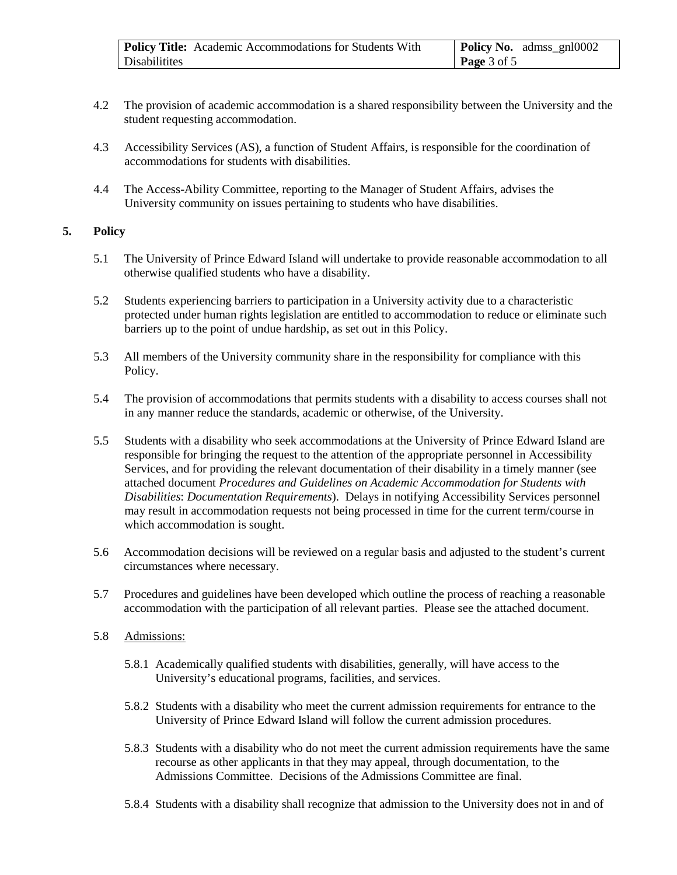| Policy Title: Academic Accommodations for Students With | <b>Policy No.</b> admss_gnl0002 |
|---------------------------------------------------------|---------------------------------|
| Disabilitites                                           | <b>Page</b> 3 of 5              |

- 4.2 The provision of academic accommodation is a shared responsibility between the University and the student requesting accommodation.
- 4.3 Accessibility Services (AS), a function of Student Affairs, is responsible for the coordination of accommodations for students with disabilities.
- 4.4 The Access-Ability Committee, reporting to the Manager of Student Affairs, advises the University community on issues pertaining to students who have disabilities.

### **5. Policy**

- 5.1 The University of Prince Edward Island will undertake to provide reasonable accommodation to all otherwise qualified students who have a disability.
- 5.2 Students experiencing barriers to participation in a University activity due to a characteristic protected under human rights legislation are entitled to accommodation to reduce or eliminate such barriers up to the point of undue hardship, as set out in this Policy.
- 5.3 All members of the University community share in the responsibility for compliance with this Policy.
- 5.4 The provision of accommodations that permits students with a disability to access courses shall not in any manner reduce the standards, academic or otherwise, of the University.
- 5.5 Students with a disability who seek accommodations at the University of Prince Edward Island are responsible for bringing the request to the attention of the appropriate personnel in Accessibility Services, and for providing the relevant documentation of their disability in a timely manner (see attached document *Procedures and Guidelines on Academic Accommodation for Students with Disabilities*: *Documentation Requirements*). Delays in notifying Accessibility Services personnel may result in accommodation requests not being processed in time for the current term/course in which accommodation is sought.
- 5.6 Accommodation decisions will be reviewed on a regular basis and adjusted to the student's current circumstances where necessary.
- 5.7 Procedures and guidelines have been developed which outline the process of reaching a reasonable accommodation with the participation of all relevant parties. Please see the attached document.
- 5.8 Admissions:
	- 5.8.1 Academically qualified students with disabilities, generally, will have access to the University's educational programs, facilities, and services.
	- 5.8.2 Students with a disability who meet the current admission requirements for entrance to the University of Prince Edward Island will follow the current admission procedures.
	- 5.8.3 Students with a disability who do not meet the current admission requirements have the same recourse as other applicants in that they may appeal, through documentation, to the Admissions Committee. Decisions of the Admissions Committee are final.
	- 5.8.4 Students with a disability shall recognize that admission to the University does not in and of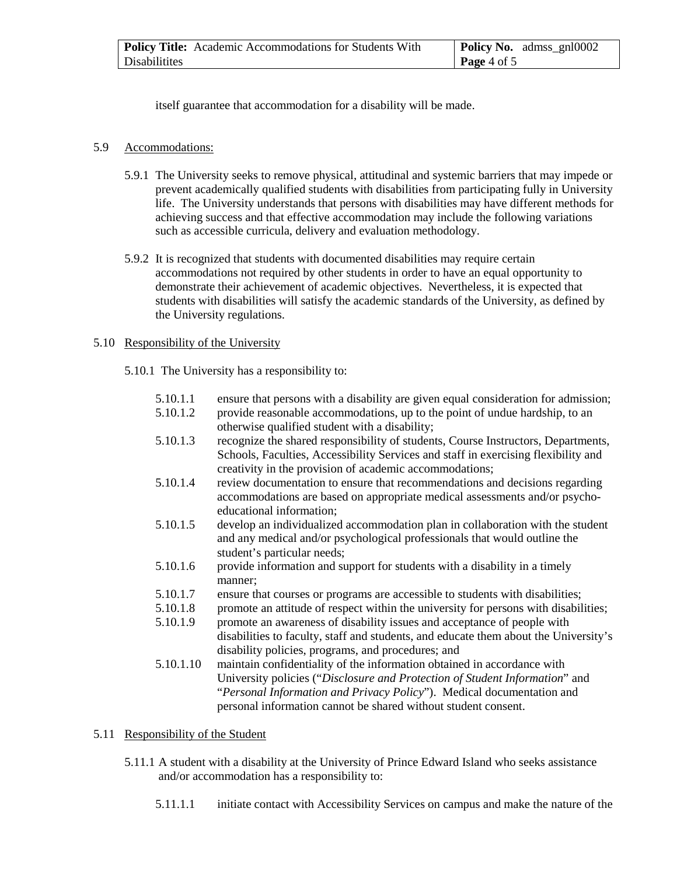| <b>Policy Title:</b> Academic Accommodations for Students With | <b>Policy No.</b> admss_gnl0002 |
|----------------------------------------------------------------|---------------------------------|
| Disabilitites                                                  | $\vert$ Page 4 of 5             |

itself guarantee that accommodation for a disability will be made.

#### 5.9 Accommodations:

- 5.9.1 The University seeks to remove physical, attitudinal and systemic barriers that may impede or prevent academically qualified students with disabilities from participating fully in University life. The University understands that persons with disabilities may have different methods for achieving success and that effective accommodation may include the following variations such as accessible curricula, delivery and evaluation methodology.
- 5.9.2 It is recognized that students with documented disabilities may require certain accommodations not required by other students in order to have an equal opportunity to demonstrate their achievement of academic objectives. Nevertheless, it is expected that students with disabilities will satisfy the academic standards of the University, as defined by the University regulations.

### 5.10 Responsibility of the University

5.10.1 The University has a responsibility to:

- 5.10.1.1 ensure that persons with a disability are given equal consideration for admission;
- 5.10.1.2 provide reasonable accommodations, up to the point of undue hardship, to an otherwise qualified student with a disability;
- 5.10.1.3 recognize the shared responsibility of students, Course Instructors, Departments, Schools, Faculties, Accessibility Services and staff in exercising flexibility and creativity in the provision of academic accommodations;
- 5.10.1.4 review documentation to ensure that recommendations and decisions regarding accommodations are based on appropriate medical assessments and/or psychoeducational information;
- 5.10.1.5 develop an individualized accommodation plan in collaboration with the student and any medical and/or psychological professionals that would outline the student's particular needs;
- 5.10.1.6 provide information and support for students with a disability in a timely manner;
- 5.10.1.7 ensure that courses or programs are accessible to students with disabilities;
- 5.10.1.8 promote an attitude of respect within the university for persons with disabilities;
- 5.10.1.9 promote an awareness of disability issues and acceptance of people with disabilities to faculty, staff and students, and educate them about the University's disability policies, programs, and procedures; and
- 5.10.1.10 maintain confidentiality of the information obtained in accordance with University policies ("*Disclosure and Protection of Student Information*" and "*Personal Information and Privacy Policy*"). Medical documentation and personal information cannot be shared without student consent.

### 5.11 Responsibility of the Student

- 5.11.1 A student with a disability at the University of Prince Edward Island who seeks assistance and/or accommodation has a responsibility to:
	- 5.11.1.1 initiate contact with Accessibility Services on campus and make the nature of the